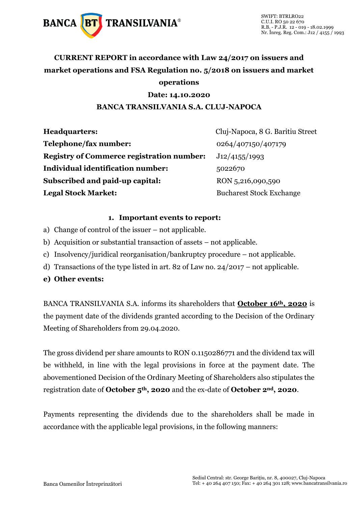

## **CURRENT REPORT in accordance with Law 24/2017 on issuers and market operations and FSA Regulation no. 5/2018 on issuers and market operations**

#### **Date: 14.10.2020**

#### **BANCA TRANSILVANIA S.A. CLUJ-NAPOCA**

| <b>Headquarters:</b>                             | Cluj-Napoca, 8 G. Baritiu Street |
|--------------------------------------------------|----------------------------------|
| Telephone/fax number:                            | 0264/407150/407179               |
| <b>Registry of Commerce registration number:</b> | J12/4155/1993                    |
| Individual identification number:                | 5022670                          |
| Subscribed and paid-up capital:                  | RON 5,216,090,590                |
| <b>Legal Stock Market:</b>                       | <b>Bucharest Stock Exchange</b>  |

#### **1. Important events to report:**

- a) Change of control of the issuer not applicable.
- b) Acquisition or substantial transaction of assets not applicable.
- c) Insolvency/juridical reorganisation/bankruptcy procedure not applicable.
- d) Transactions of the type listed in art. 82 of Law no. 24/2017 not applicable.
- **e) Other events:**

BANCA TRANSILVANIA S.A. informs its shareholders that **October 16th, 2020** is the payment date of the dividends granted according to the Decision of the Ordinary Meeting of Shareholders from 29.04.2020.

The gross dividend per share amounts to RON 0.1150286771 and the dividend tax will be withheld, in line with the legal provisions in force at the payment date. The abovementioned Decision of the Ordinary Meeting of Shareholders also stipulates the registration date of **October 5th, 2020** and the ex-date of **October 2nd, 2020**.

Payments representing the dividends due to the shareholders shall be made in accordance with the applicable legal provisions, in the following manners: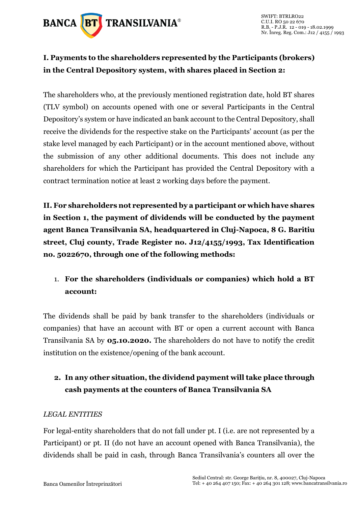

## **I. Payments to the shareholders represented by the Participants (brokers) in the Central Depository system, with shares placed in Section 2:**

The shareholders who, at the previously mentioned registration date, hold BT shares (TLV symbol) on accounts opened with one or several Participants in the Central Depository's system or have indicated an bank account to the Central Depository, shall receive the dividends for the respective stake on the Participants' account (as per the stake level managed by each Participant) or in the account mentioned above, without the submission of any other additional documents. This does not include any shareholders for which the Participant has provided the Central Depository with a contract termination notice at least 2 working days before the payment.

**II. For shareholders not represented by a participant or which have shares in Section 1, the payment of dividends will be conducted by the payment agent Banca Transilvania SA, headquartered in Cluj-Napoca, 8 G. Baritiu street, Cluj county, Trade Register no. J12/4155/1993, Tax Identification no. 5022670, through one of the following methods:** 

## 1. **For the shareholders (individuals or companies) which hold a BT account:**

The dividends shall be paid by bank transfer to the shareholders (individuals or companies) that have an account with BT or open a current account with Banca Transilvania SA by **05.10.2020.** The shareholders do not have to notify the credit institution on the existence/opening of the bank account.

## **2. In any other situation, the dividend payment will take place through cash payments at the counters of Banca Transilvania SA**

### *LEGAL ENTITIES*

For legal-entity shareholders that do not fall under pt. I (i.e. are not represented by a Participant) or pt. II (do not have an account opened with Banca Transilvania), the dividends shall be paid in cash, through Banca Transilvania's counters all over the